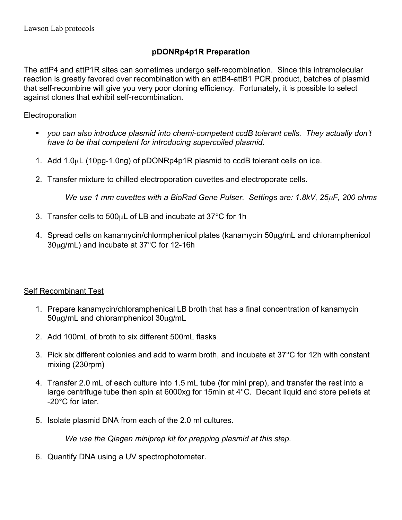## **pDONRp4p1R Preparation**

The attP4 and attP1R sites can sometimes undergo self-recombination. Since this intramolecular reaction is greatly favored over recombination with an attB4-attB1 PCR product, batches of plasmid that self-recombine will give you very poor cloning efficiency. Fortunately, it is possible to select against clones that exhibit self-recombination.

## **Electroporation**

- *you can also introduce plasmid into chemi-competent ccdB tolerant cells. They actually don't have to be that competent for introducing supercoiled plasmid.*
- 1. Add 1.0µL (10pg-1.0ng) of pDONRp4p1R plasmid to ccdB tolerant cells on ice.
- 2. Transfer mixture to chilled electroporation cuvettes and electroporate cells.

*We use 1 mm cuvettes with a BioRad Gene Pulser. Settings are: 1.8kV, 25*µ*F, 200 ohms*

- 3. Transfer cells to 500µL of LB and incubate at 37°C for 1h
- 4. Spread cells on kanamycin/chlormphenicol plates (kanamycin 50µg/mL and chloramphenicol 30µg/mL) and incubate at 37°C for 12-16h

## Self Recombinant Test

- 1. Prepare kanamycin/chloramphenical LB broth that has a final concentration of kanamycin 50µg/mL and chloramphenicol 30µg/mL
- 2. Add 100mL of broth to six different 500mL flasks
- 3. Pick six different colonies and add to warm broth, and incubate at 37°C for 12h with constant mixing (230rpm)
- 4. Transfer 2.0 mL of each culture into 1.5 mL tube (for mini prep), and transfer the rest into a large centrifuge tube then spin at 6000xg for 15min at 4°C. Decant liquid and store pellets at -20°C for later.
- 5. Isolate plasmid DNA from each of the 2.0 ml cultures.

*We use the Qiagen miniprep kit for prepping plasmid at this step.*

6. Quantify DNA using a UV spectrophotometer.